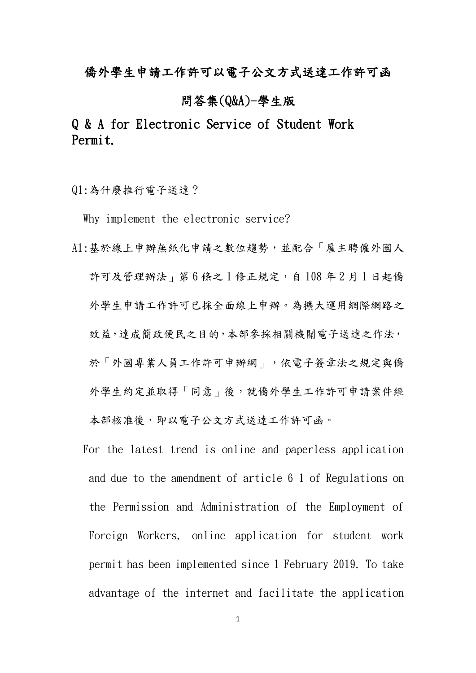## 僑外學生申請工作許可以電子公文方式送達工作許可函

### 問答集(Q&A)-學生版

# Q & A for Electronic Service of Student Work Permit.

Q1:為什麼推行電子送達?

Why implement the electronic service?

A1:基於線上申辦無紙化申請之數位趨勢,並配合「雇主聘僱外國人 許可及管理辦法,第6條之1修正規定,自108年2月1日起僑 外學生申請工作許可已採全面線上申辦。為擴大運用網際網路之 效益,達成簡政便民之目的,本部參採相關機關雷子送達之作法, 於「外國專業人員工作許可申辦網」,依電子簽章法之規定與僑 外學生約定並取得「同意」後,就僑外學生工作許可申請案件經 本部核准後,即以電子公文方式送達工作許可函。

 For the latest trend is online and paperless application and due to the amendment of article 6-1 of Regulations on the Permission and Administration of the Employment of Foreign Workers, online application for student work permit has been implemented since 1 February 2019. To take advantage of the internet and facilitate the application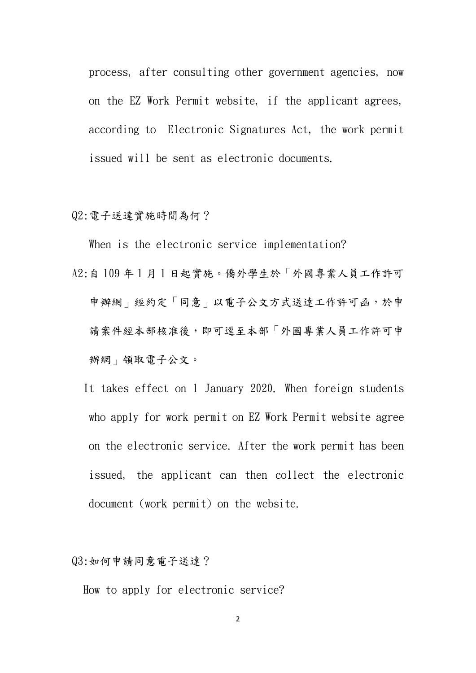process, after consulting other government agencies, now on the EZ Work Permit website, if the applicant agrees, according to Electronic Signatures Act, the work permit issued will be sent as electronic documents.

#### Q2:電子送達實施時間為何?

When is the electronic service implementation?

- A2:自 109 年 1 月 1 日起實施。僑外學生於「外國專業人員工作許可 申辦網」經約定「同意」以電子公文方式送達工作許可函,於申 請案件經本部核准後,即可逕至本部「外國專業人員工作許可申 辦網」領取電子公文。
	- It takes effect on 1 January 2020. When foreign students who apply for work permit on EZ Work Permit website agree on the electronic service. After the work permit has been issued, the applicant can then collect the electronic document (work permit) on the website.

Q3:如何申請同意電子送達?

How to apply for electronic service?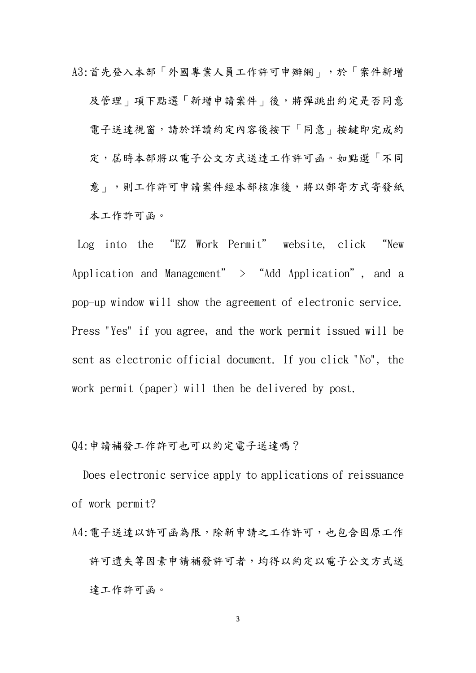A3:首先登入本部「外國專業人員工作許可申辦網」,於「案件新增 及管理」項下點選「新增申請案件」後,將彈跳出約定是否同意 電子送達視窗,請於詳讀約定內容後按下「同意」按鍵即完成約 定,居時本部將以電子公文方式送達工作許可函。如點選「不同 意 | , 則工作許可申請案件經本部核准後, 將以郵寄方式寄發紙 本工作許可函。

Log into the "EZ Work Permit" website, click "New Application and Management" > "Add Application", and a pop-up window will show the agreement of electronic service. Press "Yes" if you agree, and the work permit issued will be sent as electronic official document. If you click "No", the work permit (paper) will then be delivered by post.

### Q4:申請補發工作許可也可以約定電子送達嗎?

Does electronic service apply to applications of reissuance of work permit?

A4: 電子送達以許可函為限,除新申請之工作許可,也包含因原工作 許可遺失等因素申請補發許可者,均得以約定以電子公文方式送 達工作許可函。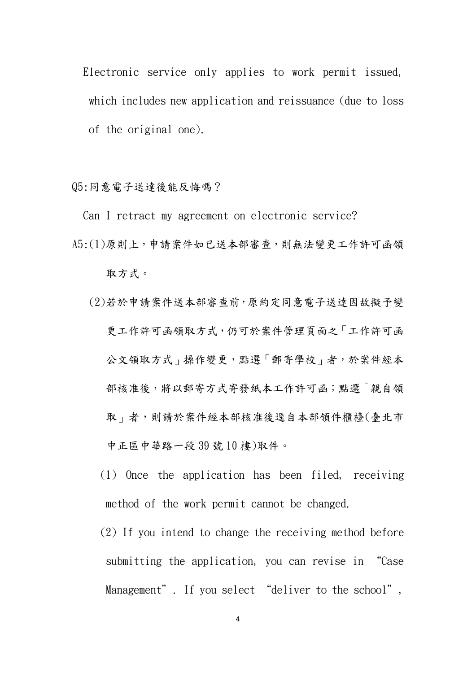Electronic service only applies to work permit issued, which includes new application and reissuance (due to loss of the original one).

Q5:同意電子送達後能反悔嗎?

Can I retract my agreement on electronic service?

- A5:(1)原則上,申請案件如已送本部審查,則無法變更工作許可函領 取方式。
	- (2)若於申請案件送本部審查前,原約定同意電子送達因故擬予變 更工作許可函領取方式,仍可於案件管理頁面之「工作許可函 公文領取方式, 操作變更,點選「郵寄學校」者,於案件經本 部核准後,將以郵寄方式寄發紙本工作許可函;點選「親自領 取 | 者,則請於案件經本部核准後逕自本部領件櫃檯(臺北市 中正區中華路一段 39 號 10 樓)取件。
		- (1) Once the application has been filed, receiving method of the work permit cannot be changed.
		- (2) If you intend to change the receiving method before submitting the application, you can revise in "Case Management". If you select "deliver to the school",

4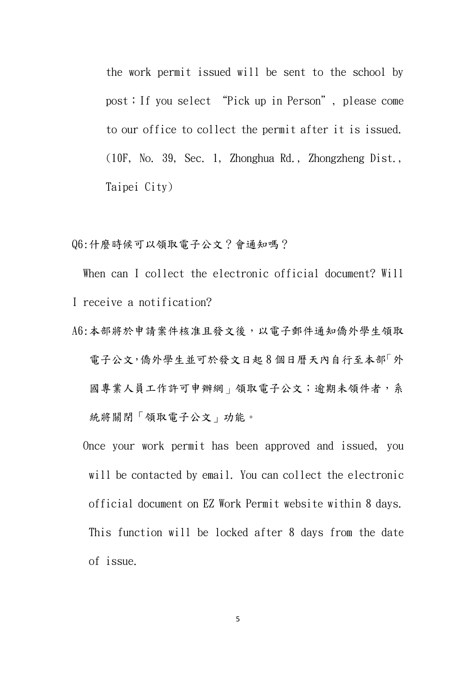the work permit issued will be sent to the school by post;If you select "Pick up in Person", please come to our office to collect the permit after it is issued. (10F, No. 39, Sec. 1, Zhonghua Rd., Zhongzheng Dist., Taipei City)

Q6:什麼時候可以領取電子公文?會通知嗎?

When can I collect the electronic official document? Will I receive a notification?

- A6:本部將於申請案件核准且發文後,以電子郵件通知僑外學生領取 電子公文,僑外學生並可於發文日起8個日曆天內自行至本部「外 國專業人員工作許可申辦網」領取電子公文;逾期未領件者,系 統將關閉「領取電子公文」功能。
	- Once your work permit has been approved and issued, you will be contacted by email. You can collect the electronic official document on EZ Work Permit website within 8 days. This function will be locked after 8 days from the date of issue.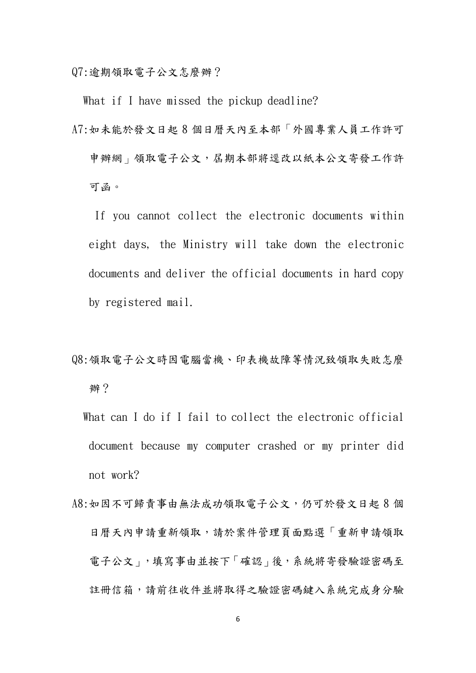Q7:逾期領取電子公文怎麼辦?

What if I have missed the pickup deadline?

A7:如未能於發文日起 8 個日曆天內至本部「外國專業人員工作許可 申辦網」領取電子公文, 屆期本部將逕改以紙本公文寄發工作許 可函。

 If you cannot collect the electronic documents within eight days, the Ministry will take down the electronic documents and deliver the official documents in hard copy by registered mail.

- Q8:領取電子公文時因電腦當機、印表機故障等情況致領取失敗怎麼 辦?
	- What can I do if I fail to collect the electronic official document because my computer crashed or my printer did not work?
- A8:如因不可歸責事由無法成功領取電子公文,仍可於發文日起 8 個 日曆天內申請重新領取,請於案件管理頁面點選「重新申請領取 電子公文」,填寫事由並按下「確認」後,系統將寄發驗證密碼至 註冊信箱,請前往收件並將取得之驗證密碼鍵入系統完成身分驗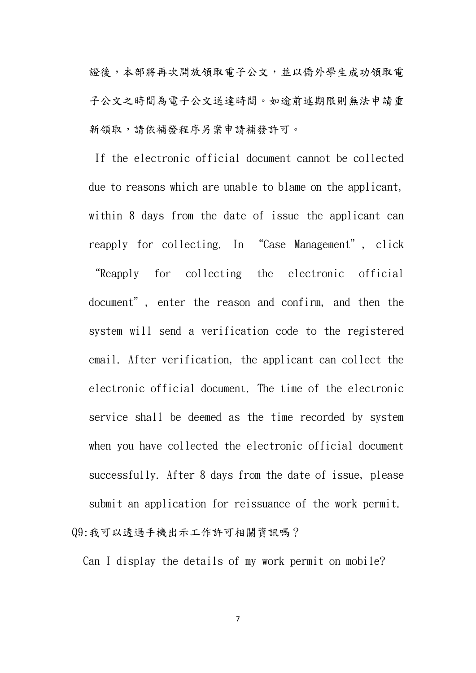證後,本部將再次開放領取電子公文,並以僑外學生成功領取電 子公文之時間為電子公文送達時間。如逾前述期限則無法申請重 新領取,請依補發程序另案申請補發許可。

 If the electronic official document cannot be collected due to reasons which are unable to blame on the applicant, within 8 days from the date of issue the applicant can reapply for collecting. In "Case Management", click "Reapply for collecting the electronic official document", enter the reason and confirm, and then the system will send a verification code to the registered email. After verification, the applicant can collect the electronic official document. The time of the electronic service shall be deemed as the time recorded by system when you have collected the electronic official document successfully. After 8 days from the date of issue, please submit an application for reissuance of the work permit. Q9:我可以透過手機出示工作許可相關資訊嗎?

Can I display the details of my work permit on mobile?

7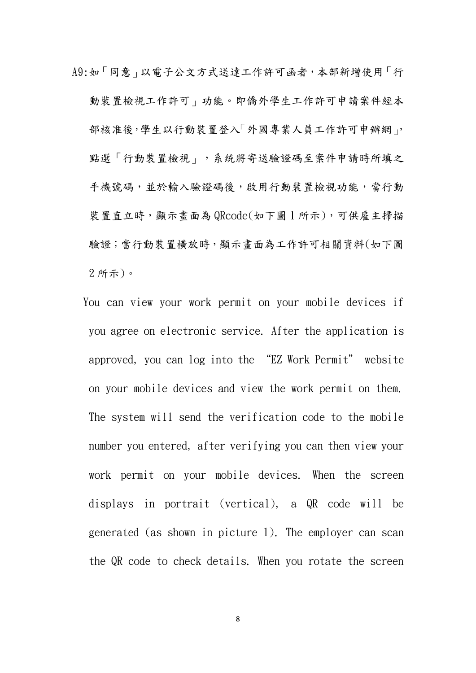A9:如「同意」以電子公文方式送達工作許可函者,本部新增使用「行 動裝置檢視工作許可」功能。即僑外學生工作許可申請案件經本 部核准後,學生以行動裝置登入「外國專業人員工作許可申辦網」, 點選「行動裝置檢視」,系統將寄送驗證碼至案件申請時所填之 手機號碼,並於輸入驗證碼後,啟用行動裝置檢視功能,當行動 裝置直立時,顯示畫面為 QRcode(如下圖 1 所示),可供雇主掃描 驗證;當行動裝置橫放時,顯示畫面為工作許可相關資料(如下圖 2 所示)。

 You can view your work permit on your mobile devices if you agree on electronic service. After the application is approved, you can log into the "EZ Work Permit" website on your mobile devices and view the work permit on them. The system will send the verification code to the mobile number you entered, after verifying you can then view your work permit on your mobile devices. When the screen displays in portrait (vertical), a QR code will be generated (as shown in picture 1). The employer can scan the QR code to check details. When you rotate the screen

8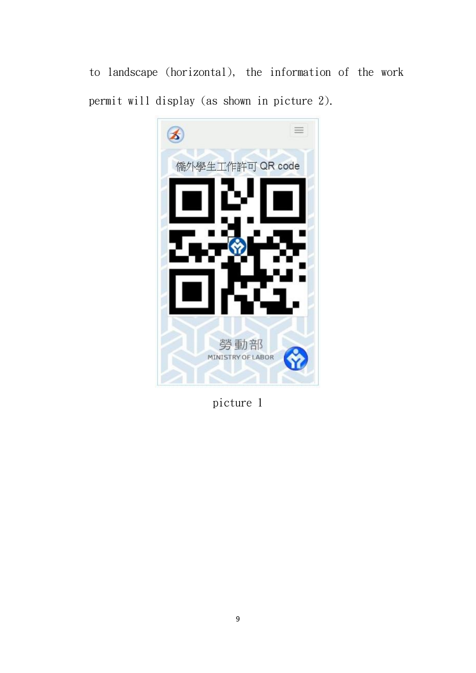to landscape (horizontal), the information of the work permit will display (as shown in picture 2).



picture 1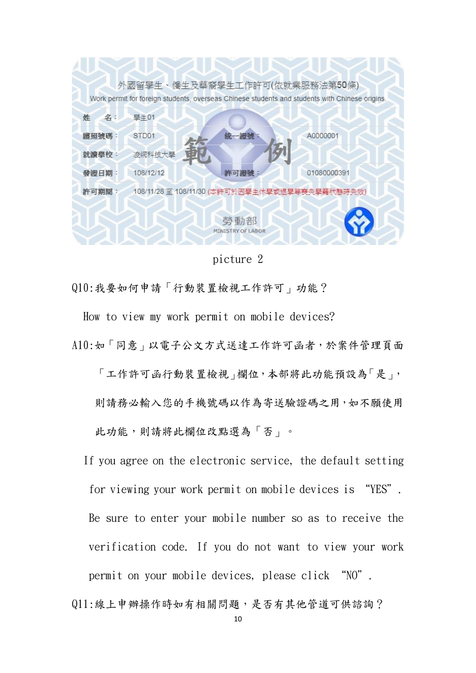

picture 2

Q10:我要如何申請「行動裝置檢視工作許可」功能?

How to view my work permit on mobile devices? A10:如「同意」以電子公文方式送達工作許可函者,於案件管理頁面 「工作許可函行動裝置檢視」欄位,本部將此功能預設為「是」, 則請務必輸入您的手機號碼以作為寄送驗證碼之用,如不願使用

此功能,則請將此欄位改點選為「否」。

If you agree on the electronic service, the default setting for viewing your work permit on mobile devices is "YES". Be sure to enter your mobile number so as to receive the verification code. If you do not want to view your work permit on your mobile devices, please click "NO".

Q11:線上申辦操作時如有相關問題,是否有其他管道可供諮詢?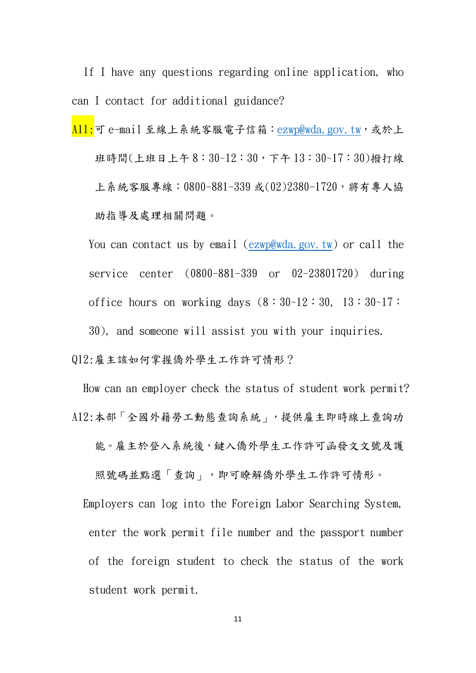If I have any questions regarding online application, who can I contact for additional guidance?

A11:可 e-mail 至線上系統客服電子信箱: [ezwp@wda.gov.tw](mailto:ezwp@wda.gov.tw),或於上 班時間(上班日上午 8:30~12:30,下午 13:30~17:30)撥打線 上系統客服專線: 0800-881-339 或(02)2380-1720, 將有專人協 助指導及處理相關問題。

You can contact us by email [\(ezwp@wda.gov.tw\)](mailto:ezwp@wda.gov.tw) or call the service center (0800-881-339 or 02-23801720) during office hours on working days  $(8:30-12:30, 13:30-17:$ 30), and someone will assist you with your inquiries.

Q12:雇主該如何掌握僑外學生工作許可情形?

How can an employer check the status of student work permit? A12:本部「全國外籍勞工動態查詢系統」,提供雇主即時線上查詢功 能。雇主於登入系統後,鍵入僑外學生工作許可函發文文號及護 照號碼並點選「查詢」,即可瞭解僑外學生工作許可情形。

Employers can log into the Foreign Labor Searching System, enter the work permit file number and the passport number of the foreign student to check the status of the work student work permit.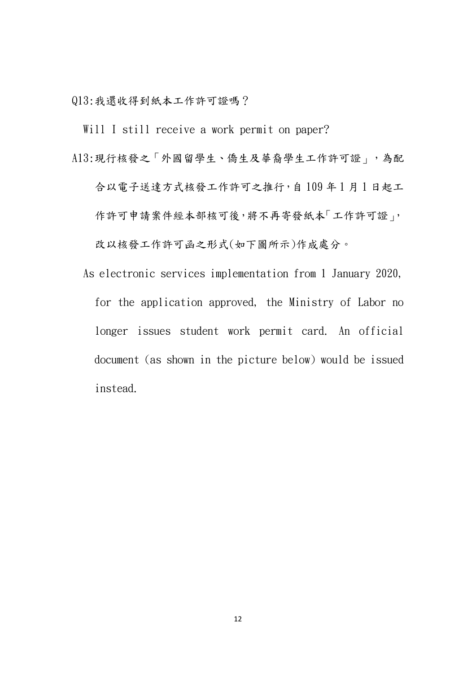Q13:我還收得到紙本工作許可證嗎?

Will I still receive a work permit on paper?

A13:現行核發之「外國留學生、僑生及華裔學生工作許可證」,為配

合以電子送達方式核發工作許可之推行,自109年1月1日起工 作許可申請案件經本部核可後,將不再寄發紙本「工作許可證」, 改以核發工作許可函之形式(如下圖所示)作成處分。

 As electronic services implementation from 1 January 2020, for the application approved, the Ministry of Labor no longer issues student work permit card. An official document (as shown in the picture below) would be issued instead.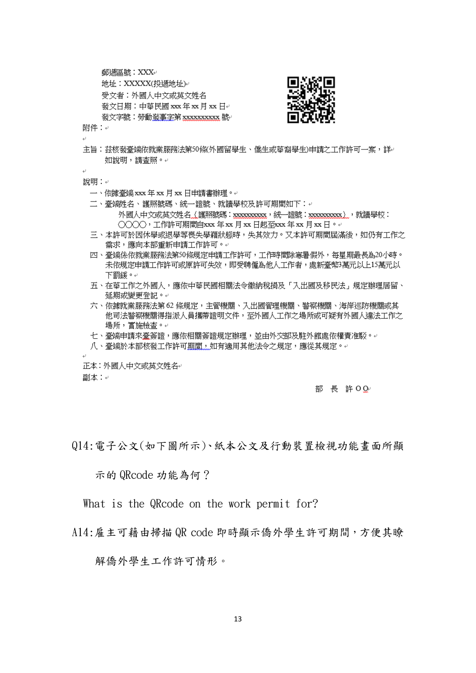邮源品號: XXX↓

地址: XXXXX(投遞地址) 受文者:外國人中文或基文姓名 發文日期:中華民國 xxx年 xx 月 xx 日e 發文字號:勞動發事字第 xxxxxxxxxx 號



附件:+

主旨:茲核發臺端依就業服務法第50條(外國留學生、僑生或華裔學生)申請之工作許可一案,詳。 如說明,請查照。↓

說明:↓

- 一、依據臺端 xxx 年 xx 月 xx 日申請書辦理。
- 二、臺端姓名、護照號碼、統一證號、就讀學校及許可期間如下:↩ 外國人中文或英文姓名(護照號碼:xxxxxxxxxx ,統一議號:xxxxxxxxxx ),就請學校:  $(\chi \chi \chi)$ , 工作許可期間自xxx 年 xx 月 xx 日起至xxx 年 xx 月 xx 日。
- 三、本許可於因休學或退學等喪失學籍狀態時,失其效力。又本許可期間屆滿後,如仍有工作之 需求,應向本部重新申請工作許可。↩
- 四、臺端係依就業服務法第50條規定申請工作許可,工作時間除寒暑假外,每星期最長為20小時。 未依規定申請工作許可或原許可失效,即受聘僱為他人工作者,處新臺幣3萬元以上15萬元以 下罰鍰。↩
- 五、在華工作之外國人,應依中華民國相關法令繳納稅損及「入出國及移民法」規定辦理居留、 延期或變更登記。↩
- 六、依據就業服務法第62 條規定,主管機關、入出國管理機關、警察機關、海岸巡防機關或其 他司法警察機關得指派人員攜帶證明文件,至外國人工作之場所或可疑有外國人違法工作之 場所,實施檢查。↩
- 七、臺端申請來臺簽證,應依相關簽證規定辦理,並由外交部及駐外館處依權責准駁。
- 八、臺端於本部核發工作許可期間,如有適用其他法令之規定,應從其規定。↩

正本:外國人中文或英文姓名₽ 副本:↩

部 長 許 O Q·

Q14:電子公文(如下圖所示)、紙本公文及行動裝置檢視功能畫面所顯

示的 QRcode 功能為何?

What is the QRcode on the work permit for?

A14:雇主可藉由掃描 QR code 即時顯示僑外學生許可期間,方便其瞭

解僑外學生工作許可情形。